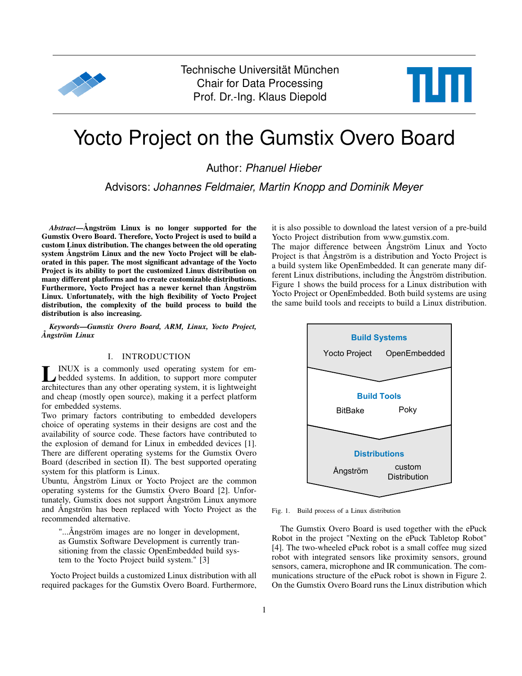



# Yocto Project on the Gumstix Overo Board

Author: *Phanuel Hieber*

Advisors: *Johannes Feldmaier, Martin Knopp and Dominik Meyer*

*Abstract*—Ångström Linux is no longer supported for the Gumstix Overo Board. Therefore, Yocto Project is used to build a custom Linux distribution. The changes between the old operating system Ångström Linux and the new Yocto Project will be elaborated in this paper. The most significant advantage of the Yocto Project is its ability to port the customized Linux distribution on many different platforms and to create customizable distributions. Furthermore, Yocto Project has a newer kernel than Ångström Linux. Unfortunately, with the high flexibility of Yocto Project distribution, the complexity of the build process to build the distribution is also increasing.

*Keywords*—*Gumstix Overo Board, ARM, Linux, Yocto Project, Ångström Linux*

## I. INTRODUCTION

INUX is a commonly used operating system for embedded systems. In addition, to support more computer architectures than any other operating system, it is lightweight INUX is a commonly used operating system for embedded systems. In addition, to support more computer and cheap (mostly open source), making it a perfect platform for embedded systems.

Two primary factors contributing to embedded developers choice of operating systems in their designs are cost and the availability of source code. These factors have contributed to the explosion of demand for Linux in embedded devices [\[1\]](#page-3-0). There are different operating systems for the Gumstix Overo Board (described in section [II\)](#page-1-0). The best supported operating system for this platform is Linux.

Ubuntu, Ångström Linux or Yocto Project are the common operating systems for the Gumstix Overo Board [\[2\]](#page-3-1). Unfortunately, Gumstix does not support Ångström Linux anymore and Ångström has been replaced with Yocto Project as the recommended alternative.

"...Ångström images are no longer in development, as Gumstix Software Development is currently transitioning from the classic OpenEmbedded build system to the Yocto Project build system." [\[3\]](#page-3-2)

Yocto Project builds a customized Linux distribution with all required packages for the Gumstix Overo Board. Furthermore, it is also possible to download the latest version of a pre-build Yocto Project distribution from www.gumstix.com.

The major difference between Ångström Linux and Yocto Project is that Ångström is a distribution and Yocto Project is a build system like OpenEmbedded. It can generate many different Linux distributions, including the Ångström distribution. Figure [1](#page-0-0) shows the build process for a Linux distribution with Yocto Project or OpenEmbedded. Both build systems are using the same build tools and receipts to build a Linux distribution.



<span id="page-0-0"></span>Fig. 1. Build process of a Linux distribution

The Gumstix Overo Board is used together with the ePuck Robot in the project "Nexting on the ePuck Tabletop Robot" [\[4\]](#page-3-3). The two-wheeled ePuck robot is a small coffee mug sized robot with integrated sensors like proximity sensors, ground sensors, camera, microphone and IR communication. The communications structure of the ePuck robot is shown in Figure [2.](#page-1-1) On the Gumstix Overo Board runs the Linux distribution which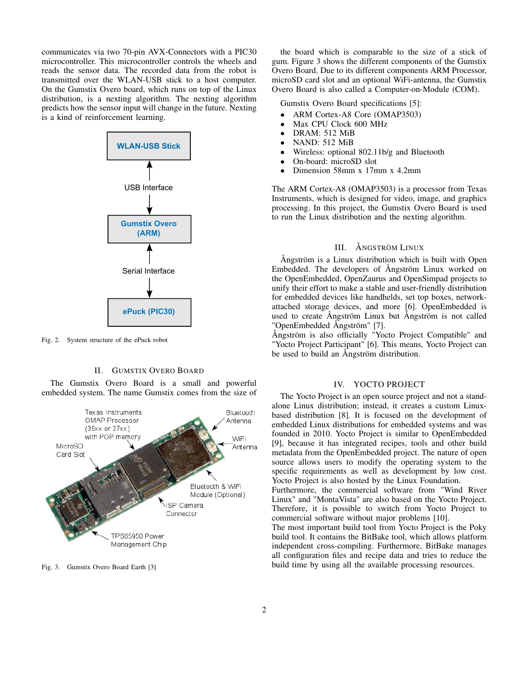communicates via two 70-pin AVX-Connectors with a PIC30 microcontroller. This microcontroller controls the wheels and reads the sensor data. The recorded data from the robot is transmitted over the WLAN-USB stick to a host computer. On the Gumstix Overo board, which runs on top of the Linux distribution, is a nexting algorithm. The nexting algorithm predicts how the sensor input will change in the future. Nexting is a kind of reinforcement learning.



<span id="page-1-1"></span>Fig. 2. System structure of the ePuck robot

## II. GUMSTIX OVERO BOARD

<span id="page-1-0"></span>The Gumstix Overo Board is a small and powerful embedded system. The name Gumstix comes from the size of



<span id="page-1-2"></span>Fig. 3. Gumstix Overo Board Earth [\[3\]](#page-3-2)

the board which is comparable to the size of a stick of gum. Figure [3](#page-1-2) shows the different components of the Gumstix Overo Board. Due to its different components ARM Processor, microSD card slot and an optional WiFi-antenna, the Gumstix Overo Board is also called a Computer-on-Module (COM).

Gumstix Overo Board specifications [\[5\]](#page-3-4):

- ARM Cortex-A8 Core (OMAP3503)
- Max CPU Clock 600 MHz
- DRAM: 512 MiB
- NAND: 512 MiB
- Wireless: optional 802.11b/g and Bluetooth
- On-board: microSD slot
- Dimension 58mm x 17mm x 4.2mm

The ARM Cortex-A8 (OMAP3503) is a processor from Texas Instruments, which is designed for video, image, and graphics processing. In this project, the Gumstix Overo Board is used to run the Linux distribution and the nexting algorithm.

#### III. ÅNGSTRÖM LINUX

Ångström is a Linux distribution which is built with Open Embedded. The developers of Ångström Linux worked on the OpenEmbedded, OpenZaurus and OpenSimpad projects to unify their effort to make a stable and user-friendly distribution for embedded devices like handhelds, set top boxes, networkattached storage devices, and more [\[6\]](#page-3-5). OpenEmbedded is used to create Ångström Linux but Ångström is not called "OpenEmbedded Ångström" [\[7\]](#page-3-6).

Ångström is also officially "Yocto Project Compatible" and "Yocto Project Participant" [\[6\]](#page-3-5). This means, Yocto Project can be used to build an Ångström distribution.

#### IV. YOCTO PROJECT

The Yocto Project is an open source project and not a standalone Linux distribution; instead, it creates a custom Linuxbased distribution [\[8\]](#page-3-7). It is focused on the development of embedded Linux distributions for embedded systems and was founded in 2010. Yocto Project is similar to OpenEmbedded [\[9\]](#page-3-8), because it has integrated recipes, tools and other build metadata from the OpenEmbedded project. The nature of open source allows users to modify the operating system to the specific requirements as well as development by low cost. Yocto Project is also hosted by the Linux Foundation.

Furthermore, the commercial software from "Wind River Linux" and "MontaVista" are also based on the Yocto Project. Therefore, it is possible to switch from Yocto Project to commercial software without major problems [\[10\]](#page-3-9).

The most important build tool from Yocto Project is the Poky build tool. It contains the BitBake tool, which allows platform independent cross-compiling. Furthermore, BitBake manages all configuration files and recipe data and tries to reduce the build time by using all the available processing resources.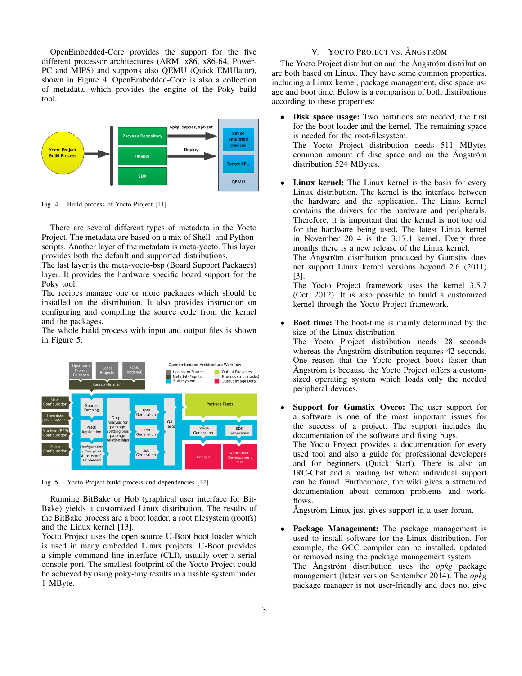OpenEmbedded-Core provides the support for the five different processor architectures (ARM, x86, x86-64, Power-PC and MIPS) and supports also QEMU (Quick EMUlator), shown in Figure [4.](#page-2-0) OpenEmbedded-Core is also a collection of metadata, which provides the engine of the Poky build tool.



<span id="page-2-0"></span>Fig. 4. Build process of Yocto Project [\[11\]](#page-3-10)

There are several different types of metadata in the Yocto Project. The metadata are based on a mix of Shell- and Pythonscripts. Another layer of the metadata is meta-yocto. This layer provides both the default and supported distributions.

The last layer is the meta-yocto-bsp (Board Support Packages) layer. It provides the hardware specific board support for the Poky tool.

The recipes manage one or more packages which should be installed on the distribution. It also provides instruction on configuring and compiling the source code from the kernel and the packages.

The whole build process with input and output files is shown in Figure [5.](#page-2-1)



<span id="page-2-1"></span>Fig. 5. Yocto Project build process and dependencies [\[12\]](#page-3-11)

Running BitBake or Hob (graphical user interface for Bit-Bake) yields a customized Linux distribution. The results of the BitBake process are a boot loader, a root filesystem (rootfs) and the Linux kernel [\[13\]](#page-3-12).

Yocto Project uses the open source U-Boot boot loader which is used in many embedded Linux projects. U-Boot provides a simple command line interface (CLI), usually over a serial console port. The smallest footprint of the Yocto Project could be achieved by using poky-tiny results in a usable system under 1 MByte.

## V. YOCTO PROJECT VS. ÅNGSTRÖM

The Yocto Project distribution and the Ångström distribution are both based on Linux. They have some common properties, including a Linux kernel, package management, disc space usage and boot time. Below is a comparison of both distributions according to these properties:

**Disk space usage:** Two partitions are needed, the first for the boot loader and the kernel. The remaining space is needed for the root-filesystem.

The Yocto Project distribution needs 511 MBytes common amount of disc space and on the Ångström distribution 524 MBytes.

• Linux kernel: The Linux kernel is the basis for every Linux distribution. The kernel is the interface between the hardware and the application. The Linux kernel contains the drivers for the hardware and peripherals. Therefore, it is important that the kernel is not too old for the hardware being used. The latest Linux kernel in November 2014 is the 3.17.1 kernel. Every three months there is a new release of the Linux kernel.

The Ångström distribution produced by Gumstix does not support Linux kernel versions beyond 2.6 (2011) [\[3\]](#page-3-2).

The Yocto Project framework uses the kernel 3.5.7 (Oct. 2012). It is also possible to build a customized kernel through the Yocto Project framework.

- Boot time: The boot-time is mainly determined by the size of the Linux distribution. The Yocto Project distribution needs 28 seconds whereas the Ångström distribution requires 42 seconds. One reason that the Yocto project boots faster than Ångström is because the Yocto Project offers a customsized operating system which loads only the needed peripheral devices.
- Support for Gumstix Overo: The user support for a software is one of the most important issues for the success of a project. The support includes the documentation of the software and fixing bugs.

The Yocto Project provides a documentation for every used tool and also a guide for professional developers and for beginners (Quick Start). There is also an IRC-Chat and a mailing list where individual support can be found. Furthermore, the wiki gives a structured documentation about common problems and workflows.

Ångström Linux just gives support in a user forum.

**Package Management:** The package management is used to install software for the Linux distribution. For example, the GCC compiler can be installed, updated or removed using the package management system. The Ångström distribution uses the *opkg* package management (latest version September 2014). The *opkg* package manager is not user-friendly and does not give